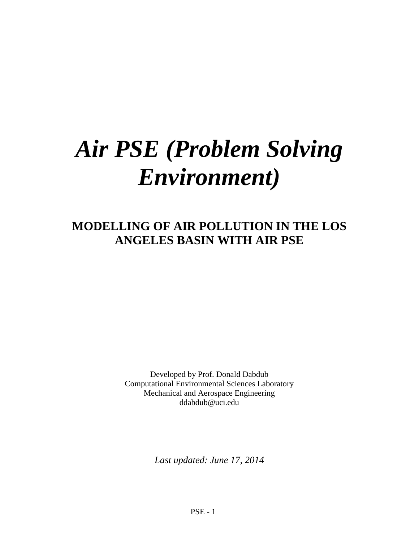# *Air PSE (Problem Solving Environment)*

# **MODELLING OF AIR POLLUTION IN THE LOS ANGELES BASIN WITH AIR PSE**

Developed by Prof. Donald Dabdub Computational Environmental Sciences Laboratory Mechanical and Aerospace Engineering ddabdub@uci.edu

*Last updated: June 17, 2014*

PSE - 1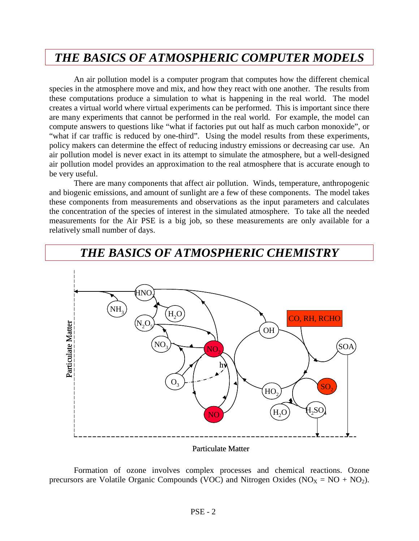# *THE BASICS OF ATMOSPHERIC COMPUTER MODELS*

An air pollution model is a computer program that computes how the different chemical species in the atmosphere move and mix, and how they react with one another. The results from these computations produce a simulation to what is happening in the real world. The model creates a virtual world where virtual experiments can be performed. This is important since there are many experiments that cannot be performed in the real world. For example, the model can compute answers to questions like "what if factories put out half as much carbon monoxide", or "what if car traffic is reduced by one-third". Using the model results from these experiments, policy makers can determine the effect of reducing industry emissions or decreasing car use. An air pollution model is never exact in its attempt to simulate the atmosphere, but a well-designed air pollution model provides an approximation to the real atmosphere that is accurate enough to be very useful.

There are many components that affect air pollution. Winds, temperature, anthropogenic and biogenic emissions, and amount of sunlight are a few of these components. The model takes these components from measurements and observations as the input parameters and calculates the concentration of the species of interest in the simulated atmosphere. To take all the needed measurements for the Air PSE is a big job, so these measurements are only available for a relatively small number of days.



# *THE BASICS OF ATMOSPHERIC CHEMISTRY*

#### Particulate Matter

Formation of ozone involves complex processes and chemical reactions. Ozone precursors are Volatile Organic Compounds (VOC) and Nitrogen Oxides ( $NO<sub>X</sub> = NO + NO<sub>2</sub>$ ).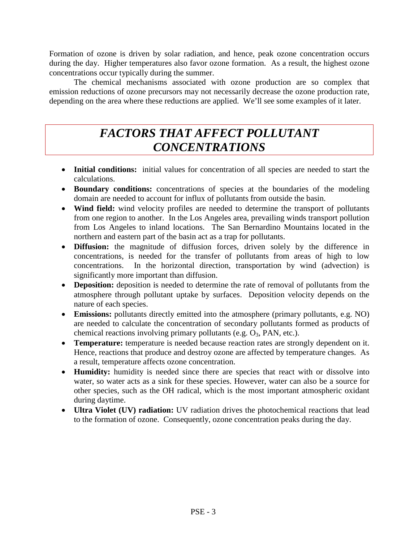Formation of ozone is driven by solar radiation, and hence, peak ozone concentration occurs during the day. Higher temperatures also favor ozone formation. As a result, the highest ozone concentrations occur typically during the summer.

The chemical mechanisms associated with ozone production are so complex that emission reductions of ozone precursors may not necessarily decrease the ozone production rate, depending on the area where these reductions are applied. We'll see some examples of it later.

# *FACTORS THAT AFFECT POLLUTANT CONCENTRATIONS*

- **Initial conditions:** initial values for concentration of all species are needed to start the calculations.
- **Boundary conditions:** concentrations of species at the boundaries of the modeling domain are needed to account for influx of pollutants from outside the basin.
- **Wind field:** wind velocity profiles are needed to determine the transport of pollutants from one region to another. In the Los Angeles area, prevailing winds transport pollution from Los Angeles to inland locations. The San Bernardino Mountains located in the northern and eastern part of the basin act as a trap for pollutants.
- **Diffusion:** the magnitude of diffusion forces, driven solely by the difference in concentrations, is needed for the transfer of pollutants from areas of high to low concentrations. In the horizontal direction, transportation by wind (advection) is significantly more important than diffusion.
- **Deposition:** deposition is needed to determine the rate of removal of pollutants from the atmosphere through pollutant uptake by surfaces. Deposition velocity depends on the nature of each species.
- **Emissions:** pollutants directly emitted into the atmosphere (primary pollutants, e.g. NO) are needed to calculate the concentration of secondary pollutants formed as products of chemical reactions involving primary pollutants (e.g.  $O_3$ , PAN, etc.).
- **Temperature:** temperature is needed because reaction rates are strongly dependent on it. Hence, reactions that produce and destroy ozone are affected by temperature changes. As a result, temperature affects ozone concentration.
- **Humidity:** humidity is needed since there are species that react with or dissolve into water, so water acts as a sink for these species. However, water can also be a source for other species, such as the OH radical, which is the most important atmospheric oxidant during daytime.
- **Ultra Violet (UV) radiation:** UV radiation drives the photochemical reactions that lead to the formation of ozone. Consequently, ozone concentration peaks during the day.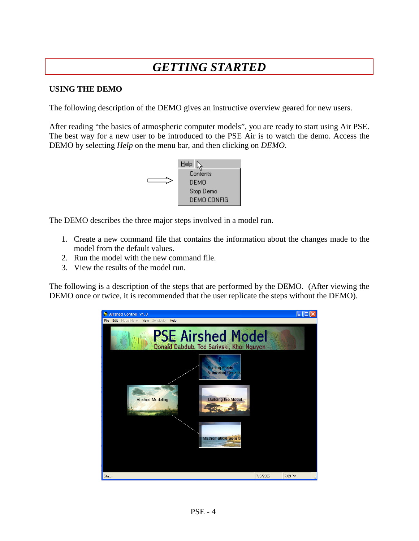# *GETTING STARTED*

#### **USING THE DEMO**

The following description of the DEMO gives an instructive overview geared for new users.

After reading "the basics of atmospheric computer models", you are ready to start using Air PSE. The best way for a new user to be introduced to the PSE Air is to watch the demo. Access the DEMO by selecting *Help* on the menu bar, and then clicking on *DEMO*.



The DEMO describes the three major steps involved in a model run.

- 1. Create a new command file that contains the information about the changes made to the model from the default values.
- 2. Run the model with the new command file.
- 3. View the results of the model run.

The following is a description of the steps that are performed by the DEMO. (After viewing the DEMO once or twice, it is recommended that the user replicate the steps without the DEMO).

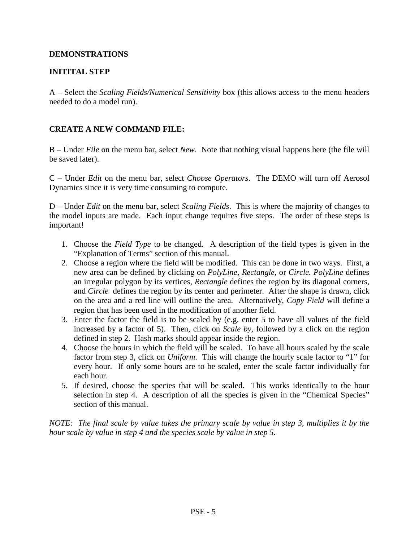#### **DEMONSTRATIONS**

#### **INITITAL STEP**

A – Select the *Scaling Fields/Numerical Sensitivity* box (this allows access to the menu headers needed to do a model run).

#### **CREATE A NEW COMMAND FILE:**

B – Under *File* on the menu bar, select *New*. Note that nothing visual happens here (the file will be saved later).

C – Under *Edit* on the menu bar, select *Choose Operators*. The DEMO will turn off Aerosol Dynamics since it is very time consuming to compute.

D – Under *Edit* on the menu bar, select *Scaling Fields*. This is where the majority of changes to the model inputs are made. Each input change requires five steps. The order of these steps is important!

- 1. Choose the *Field Type* to be changed. A description of the field types is given in the "Explanation of Terms" section of this manual.
- 2. Choose a region where the field will be modified. This can be done in two ways. First, a new area can be defined by clicking on *PolyLine, Rectangle*, or *Circle. PolyLine* defines an irregular polygon by its vertices, *Rectangle* defines the region by its diagonal corners, and *Circle* defines the region by its center and perimeter. After the shape is drawn, click on the area and a red line will outline the area. Alternatively, *Copy Field* will define a region that has been used in the modification of another field.
- 3. Enter the factor the field is to be scaled by (e.g. enter 5 to have all values of the field increased by a factor of 5). Then, click on *Scale by*, followed by a click on the region defined in step 2. Hash marks should appear inside the region.
- 4. Choose the hours in which the field will be scaled. To have all hours scaled by the scale factor from step 3, click on *Uniform*. This will change the hourly scale factor to "1" for every hour. If only some hours are to be scaled, enter the scale factor individually for each hour.
- 5. If desired, choose the species that will be scaled. This works identically to the hour selection in step 4. A description of all the species is given in the "Chemical Species" section of this manual.

*NOTE: The final scale by value takes the primary scale by value in step 3, multiplies it by the hour scale by value in step 4 and the species scale by value in step 5.*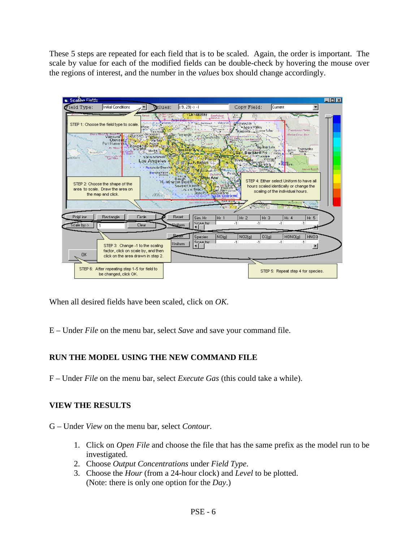These 5 steps are repeated for each field that is to be scaled. Again, the order is important. The scale by value for each of the modified fields can be double-check by hovering the mouse over the regions of interest, and the number in the *values* box should change accordingly.



When all desired fields have been scaled, click on *OK*.

E – Under *File* on the menu bar, select *Save* and save your command file.

## **RUN THE MODEL USING THE NEW COMMAND FILE**

F – Under *File* on the menu bar, select *Execute Gas* (this could take a while).

## **VIEW THE RESULTS**

- G Under *View* on the menu bar, select *Contour*.
	- 1. Click on *Open File* and choose the file that has the same prefix as the model run to be investigated.
	- 2. Choose *Output Concentrations* under *Field Type*.
	- 3. Choose the *Hour* (from a 24-hour clock) and *Level* to be plotted. (Note: there is only one option for the *Day*.)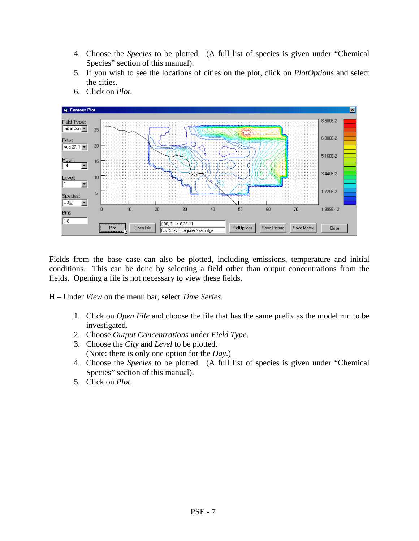- 4. Choose the *Species* to be plotted. (A full list of species is given under "Chemical Species" section of this manual).
- 5. If you wish to see the locations of cities on the plot, click on *PlotOptions* and select the cities.



6. Click on *Plot*.

Fields from the base case can also be plotted, including emissions, temperature and initial conditions. This can be done by selecting a field other than output concentrations from the fields. Opening a file is not necessary to view these fields.

H – Under *View* on the menu bar*,* select *Time Series*.

- 1. Click on *Open File* and choose the file that has the same prefix as the model run to be investigated.
- 2. Choose *Output Concentrations* under *Field Type*.
- 3. Choose the *City* and *Level* to be plotted. (Note: there is only one option for the *Day*.)
- 4. Choose the *Species* to be plotted. (A full list of species is given under "Chemical Species" section of this manual).
- 5. Click on *Plot*.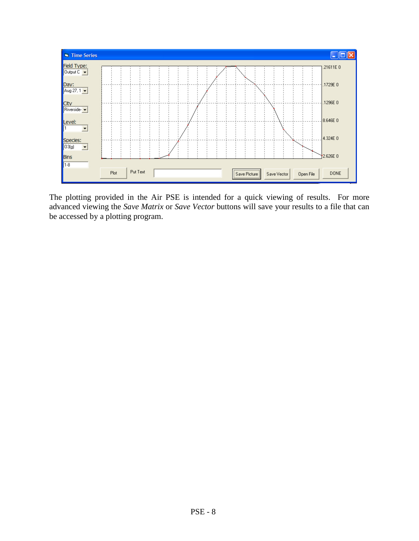

The plotting provided in the Air PSE is intended for a quick viewing of results. For more advanced viewing the *Save Matrix* or *Save Vector* buttons will save your results to a file that can be accessed by a plotting program.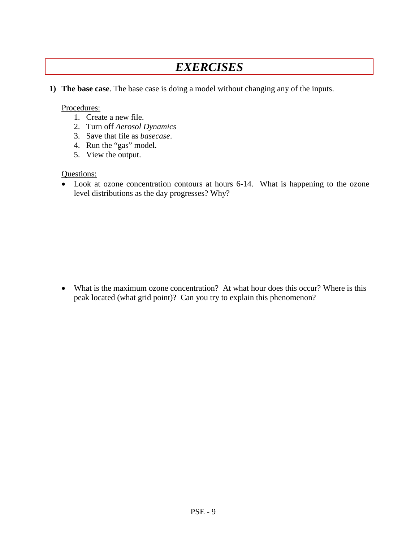# *EXERCISES*

**1) The base case**. The base case is doing a model without changing any of the inputs.

#### Procedures:

- 1. Create a new file.
- 2. Turn off *Aerosol Dynamics*
- 3. Save that file as *basecase*.
- 4. Run the "gas" model.
- 5. View the output.

#### Questions:

• Look at ozone concentration contours at hours 6-14. What is happening to the ozone level distributions as the day progresses? Why?

• What is the maximum ozone concentration? At what hour does this occur? Where is this peak located (what grid point)? Can you try to explain this phenomenon?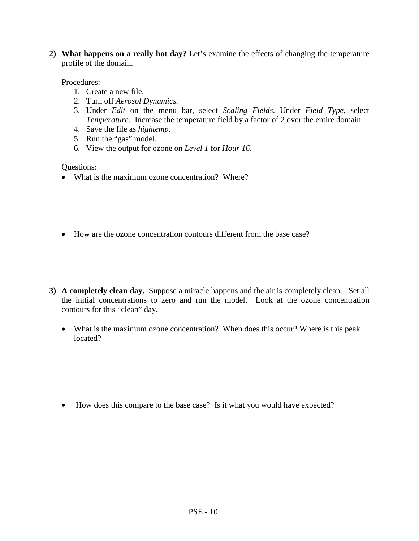**2) What happens on a really hot day?** Let's examine the effects of changing the temperature profile of the domain.

#### Procedures:

- 1. Create a new file.
- 2. Turn off *Aerosol Dynamics.*
- 3. Under *Edit* on the menu bar, select *Scaling Fields*. Under *Field Type*, select *Temperature.* Increase the temperature field by a factor of 2 over the entire domain.
- 4. Save the file as *hightemp*.
- 5. Run the "gas" model.
- 6. View the output for ozone on *Level 1* for *Hour 16*.

#### Questions:

- What is the maximum ozone concentration? Where?
- How are the ozone concentration contours different from the base case?
- **3) A completely clean day.** Suppose a miracle happens and the air is completely clean. Set all the initial concentrations to zero and run the model. Look at the ozone concentration contours for this "clean" day.
	- What is the maximum ozone concentration? When does this occur? Where is this peak located?

• How does this compare to the base case? Is it what you would have expected?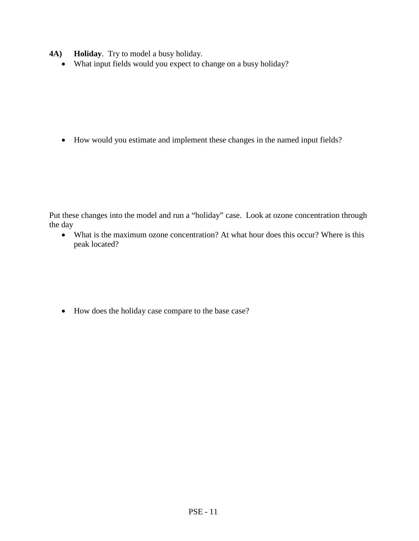- **4A) Holiday**. Try to model a busy holiday.
	- What input fields would you expect to change on a busy holiday?

• How would you estimate and implement these changes in the named input fields?

Put these changes into the model and run a "holiday" case. Look at ozone concentration through the day

• What is the maximum ozone concentration? At what hour does this occur? Where is this peak located?

• How does the holiday case compare to the base case?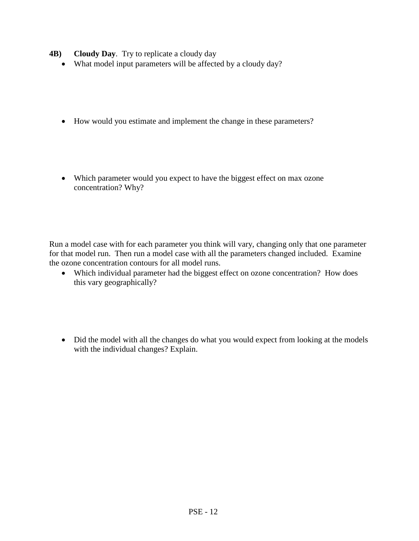- **4B) Cloudy Day**. Try to replicate a cloudy day
	- What model input parameters will be affected by a cloudy day?
	- How would you estimate and implement the change in these parameters?
	- Which parameter would you expect to have the biggest effect on max ozone concentration? Why?

Run a model case with for each parameter you think will vary, changing only that one parameter for that model run. Then run a model case with all the parameters changed included. Examine the ozone concentration contours for all model runs.

- Which individual parameter had the biggest effect on ozone concentration? How does this vary geographically?
- Did the model with all the changes do what you would expect from looking at the models with the individual changes? Explain.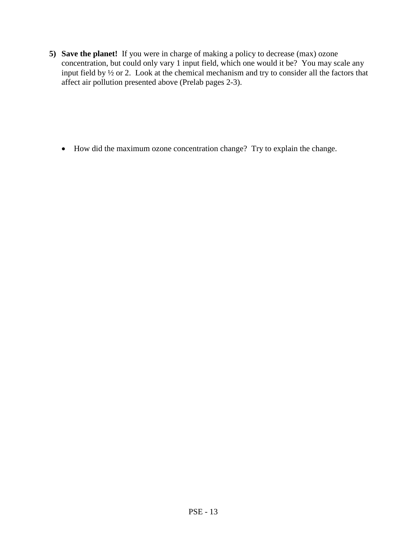**5) Save the planet!** If you were in charge of making a policy to decrease (max) ozone concentration, but could only vary 1 input field, which one would it be? You may scale any input field by ½ or 2. Look at the chemical mechanism and try to consider all the factors that affect air pollution presented above (Prelab pages 2-3).

• How did the maximum ozone concentration change? Try to explain the change.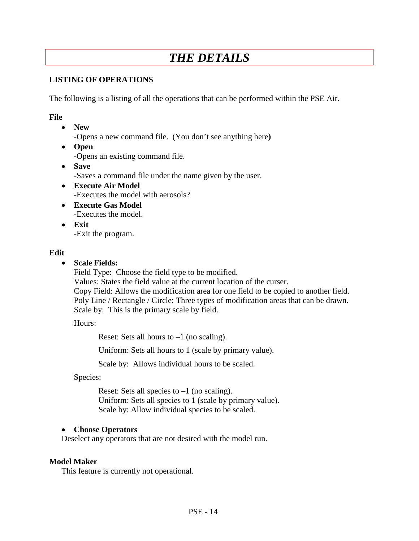# *THE DETAILS*

#### **LISTING OF OPERATIONS**

The following is a listing of all the operations that can be performed within the PSE Air.

#### **File**

- **New** -Opens a new command file. (You don't see anything here**)**
- **Open** -Opens an existing command file.
- **Save** -Saves a command file under the name given by the user.
- **Execute Air Model** -Executes the model with aerosols?
- **Execute Gas Model -**Executes the model.
- **Exit** -Exit the program.

#### **Edit**

• **Scale Fields:**

Field Type: Choose the field type to be modified.

Values: States the field value at the current location of the curser. Copy Field: Allows the modification area for one field to be copied to another field. Poly Line / Rectangle / Circle: Three types of modification areas that can be drawn. Scale by: This is the primary scale by field.

Hours:

Reset: Sets all hours to  $-1$  (no scaling).

Uniform: Sets all hours to 1 (scale by primary value).

Scale by: Allows individual hours to be scaled.

Species:

Reset: Sets all species to  $-1$  (no scaling). Uniform: Sets all species to 1 (scale by primary value). Scale by: Allow individual species to be scaled.

#### • **Choose Operators**

Deselect any operators that are not desired with the model run.

#### **Model Maker**

This feature is currently not operational.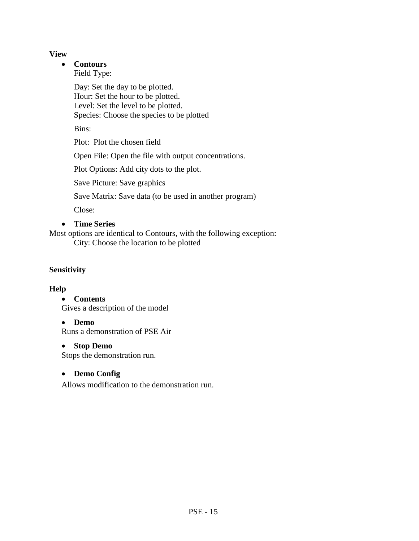#### **View**

## • **Contours**

Field Type:

Day: Set the day to be plotted. Hour: Set the hour to be plotted. Level: Set the level to be plotted. Species: Choose the species to be plotted

Bins:

Plot: Plot the chosen field

Open File: Open the file with output concentrations.

Plot Options: Add city dots to the plot.

Save Picture: Save graphics

Save Matrix: Save data (to be used in another program)

Close:

## • **Time Series**

Most options are identical to Contours, with the following exception: City: Choose the location to be plotted

# **Sensitivity**

## **Help**

• **Contents** 

Gives a description of the model

## • **Demo**

Runs a demonstration of PSE Air

## • **Stop Demo**

Stops the demonstration run.

## • **Demo Config**

Allows modification to the demonstration run.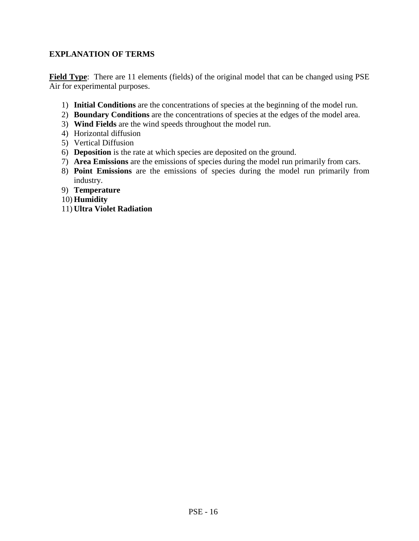## **EXPLANATION OF TERMS**

**Field Type**: There are 11 elements (fields) of the original model that can be changed using PSE Air for experimental purposes.

- 1) **Initial Conditions** are the concentrations of species at the beginning of the model run.
- 2) **Boundary Conditions** are the concentrations of species at the edges of the model area.
- 3) **Wind Fields** are the wind speeds throughout the model run.
- 4) Horizontal diffusion
- 5) Vertical Diffusion
- 6) **Deposition** is the rate at which species are deposited on the ground.
- 7) **Area Emissions** are the emissions of species during the model run primarily from cars.
- 8) **Point Emissions** are the emissions of species during the model run primarily from industry.
- 9) **Temperature**
- 10) **Humidity**
- 11) **Ultra Violet Radiation**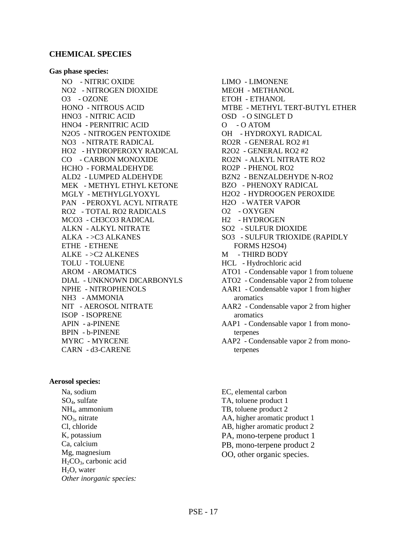#### **CHEMICAL SPECIES**

#### **Gas phase species:**

NO - NITRIC OXIDE NO2 - NITROGEN DIOXIDE O3 - OZONE HONO - NITROUS ACID HNO3 - NITRIC ACID HNO4 - PERNITRIC ACID N2O5 - NITROGEN PENTOXIDE NO3 - NITRATE RADICAL HO2 - HYDROPEROXY RADICAL CO - CARBON MONOXIDE HCHO - FORMALDEHYDE ALD2 - LUMPED ALDEHYDE MEK - METHYL ETHYL KETONE MGLY - METHYLGLYOXYL PAN - PEROXYL ACYL NITRATE RO2 - TOTAL RO2 RADICALS MCO3 - CH3CO3 RADICAL ALKN - ALKYL NITRATE ALKA - >C3 ALKANES ETHE - ETHENE ALKE - >C2 ALKENES TOLU - TOLUENE AROM - AROMATICS DIAL - UNKNOWN DICARBONYLS NPHE - NITROPHENOLS NH3 - AMMONIA NIT - AEROSOL NITRATE ISOP - ISOPRENE APIN - a-PINENE BPIN - b-PINENE MYRC - MYRCENE CARN - d3-CARENE

#### **Aerosol species:**

Na, sodium SO4, sulfate NH4, ammonium  $NO<sub>3</sub>$ , nitrate Cl, chloride K, potassium Ca, calcium Mg, magnesium  $H_2CO_3$ , carbonic acid H<sub>2</sub>O, water *Other inorganic species:*

- LIMO LIMONENE MEOH - METHANOL ETOH - ETHANOL MTBE - METHYL TERT-BUTYL ETHER OSD - O SINGLET D O - O ATOM OH - HYDROXYL RADICAL RO2R - GENERAL RO2 #1 R2O2 - GENERAL RO2 #2 RO2N - ALKYL NITRATE RO2 RO2P - PHENOL RO2 BZN2 - BENZALDEHYDE N-RO2 BZO - PHENOXY RADICAL H2O2 - HYDROOGEN PEROXIDE H2O - WATER VAPOR O2 - OXYGEN H2 - HYDROGEN SO2 - SULFUR DIOXIDE SO3 - SULFUR TRIOXIDE (RAPIDLY FORMS H2SO4) M - THIRD BODY HCL - Hydrochloric acid ATO1 - Condensable vapor 1 from toluene ATO2 - Condensable vapor 2 from toluene AAR1 - Condensable vapor 1 from higher aromatics AAR2 - Condensable vapor 2 from higher aromatics AAP1 - Condensable vapor 1 from monoterpenes AAP2 - Condensable vapor 2 from monoterpenes
	- EC, elemental carbon TA, toluene product 1 TB, toluene product 2 AA, higher aromatic product 1 AB, higher aromatic product 2 PA, mono-terpene product 1 PB, mono-terpene product 2 OO, other organic species.